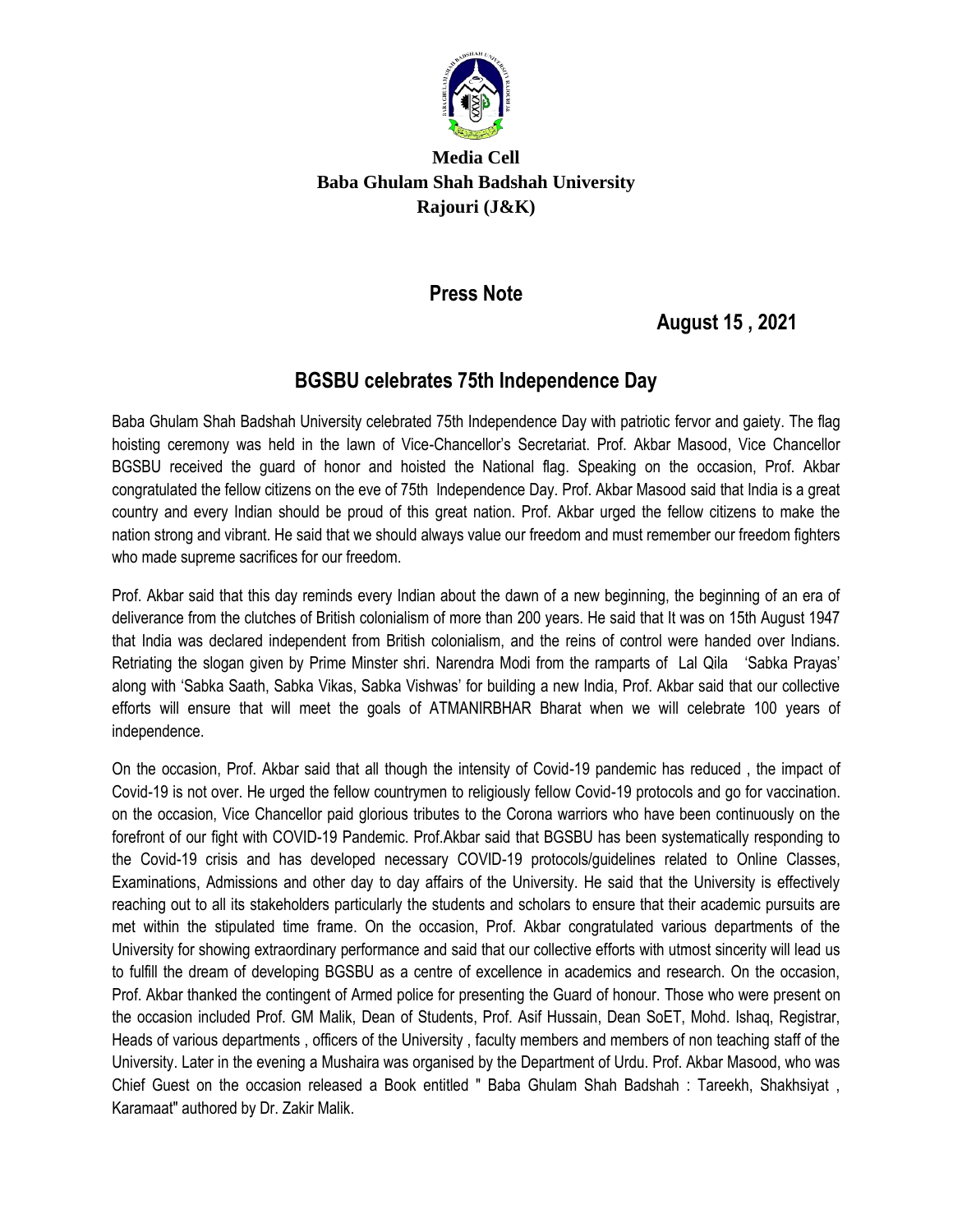

## **Media Cell Baba Ghulam Shah Badshah University Rajouri (J&K)**

## **Press Note**

 **August 15 , 2021**

## **BGSBU celebrates 75th Independence Day**

Baba Ghulam Shah Badshah University celebrated 75th Independence Day with patriotic fervor and gaiety. The flag hoisting ceremony was held in the lawn of Vice-Chancellor's Secretariat. Prof. Akbar Masood, Vice Chancellor BGSBU received the guard of honor and hoisted the National flag. Speaking on the occasion, Prof. Akbar congratulated the fellow citizens on the eve of 75th Independence Day. Prof. Akbar Masood said that India is a great country and every Indian should be proud of this great nation. Prof. Akbar urged the fellow citizens to make the nation strong and vibrant. He said that we should always value our freedom and must remember our freedom fighters who made supreme sacrifices for our freedom.

Prof. Akbar said that this day reminds every Indian about the dawn of a new beginning, the beginning of an era of deliverance from the clutches of British colonialism of more than 200 years. He said that It was on 15th August 1947 that India was declared independent from British colonialism, and the reins of control were handed over Indians. Retriating the slogan given by Prime Minster shri. Narendra Modi from the ramparts of Lal Qila 'Sabka Prayas' along with 'Sabka Saath, Sabka Vikas, Sabka Vishwas' for building a new India, Prof. Akbar said that our collective efforts will ensure that will meet the goals of ATMANIRBHAR Bharat when we will celebrate 100 years of independence.

On the occasion, Prof. Akbar said that all though the intensity of Covid-19 pandemic has reduced , the impact of Covid-19 is not over. He urged the fellow countrymen to religiously fellow Covid-19 protocols and go for vaccination. on the occasion, Vice Chancellor paid glorious tributes to the Corona warriors who have been continuously on the forefront of our fight with COVID-19 Pandemic. Prof.Akbar said that BGSBU has been systematically responding to the Covid-19 crisis and has developed necessary COVID-19 protocols/guidelines related to Online Classes, Examinations, Admissions and other day to day affairs of the University. He said that the University is effectively reaching out to all its stakeholders particularly the students and scholars to ensure that their academic pursuits are met within the stipulated time frame. On the occasion, Prof. Akbar congratulated various departments of the University for showing extraordinary performance and said that our collective efforts with utmost sincerity will lead us to fulfill the dream of developing BGSBU as a centre of excellence in academics and research. On the occasion, Prof. Akbar thanked the contingent of Armed police for presenting the Guard of honour. Those who were present on the occasion included Prof. GM Malik, Dean of Students, Prof. Asif Hussain, Dean SoET, Mohd. Ishaq, Registrar, Heads of various departments , officers of the University , faculty members and members of non teaching staff of the University. Later in the evening a Mushaira was organised by the Department of Urdu. Prof. Akbar Masood, who was Chief Guest on the occasion released a Book entitled " Baba Ghulam Shah Badshah : Tareekh, Shakhsiyat , Karamaat" authored by Dr. Zakir Malik.